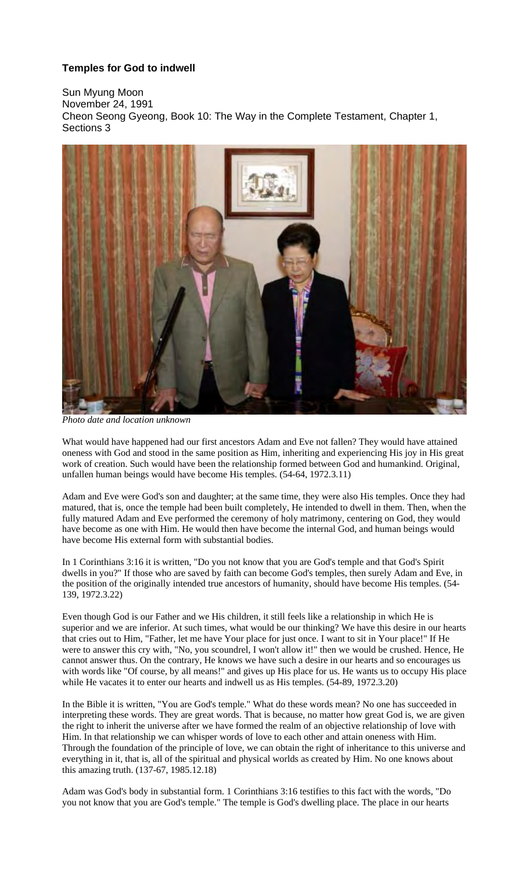## **Temples for God to indwell**

Sun Myung Moon November 24, 1991 Cheon Seong Gyeong, Book 10: The Way in the Complete Testament, Chapter 1, Sections 3



*Photo date and location unknown*

What would have happened had our first ancestors Adam and Eve not fallen? They would have attained oneness with God and stood in the same position as Him, inheriting and experiencing His joy in His great work of creation. Such would have been the relationship formed between God and humankind. Original, unfallen human beings would have become His temples. (54-64, 1972.3.11)

Adam and Eve were God's son and daughter; at the same time, they were also His temples. Once they had matured, that is, once the temple had been built completely, He intended to dwell in them. Then, when the fully matured Adam and Eve performed the ceremony of holy matrimony, centering on God, they would have become as one with Him. He would then have become the internal God, and human beings would have become His external form with substantial bodies.

In 1 Corinthians 3:16 it is written, "Do you not know that you are God's temple and that God's Spirit dwells in you?" If those who are saved by faith can become God's temples, then surely Adam and Eve, in the position of the originally intended true ancestors of humanity, should have become His temples. (54- 139, 1972.3.22)

Even though God is our Father and we His children, it still feels like a relationship in which He is superior and we are inferior. At such times, what would be our thinking? We have this desire in our hearts that cries out to Him, "Father, let me have Your place for just once. I want to sit in Your place!" If He were to answer this cry with, "No, you scoundrel, I won't allow it!" then we would be crushed. Hence, He cannot answer thus. On the contrary, He knows we have such a desire in our hearts and so encourages us with words like "Of course, by all means!" and gives up His place for us. He wants us to occupy His place while He vacates it to enter our hearts and indwell us as His temples. (54-89, 1972.3.20)

In the Bible it is written, "You are God's temple." What do these words mean? No one has succeeded in interpreting these words. They are great words. That is because, no matter how great God is, we are given the right to inherit the universe after we have formed the realm of an objective relationship of love with Him. In that relationship we can whisper words of love to each other and attain oneness with Him. Through the foundation of the principle of love, we can obtain the right of inheritance to this universe and everything in it, that is, all of the spiritual and physical worlds as created by Him. No one knows about this amazing truth. (137-67, 1985.12.18)

Adam was God's body in substantial form. 1 Corinthians 3:16 testifies to this fact with the words, "Do you not know that you are God's temple." The temple is God's dwelling place. The place in our hearts